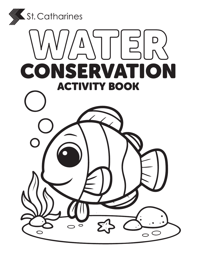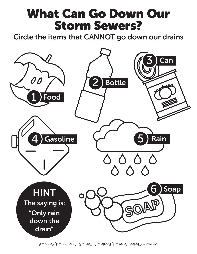### What Can Go Down Our Storm Sewers?

Circle the items that CANNOT go down our drains

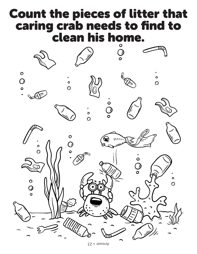#### Count the pieces of litter that caring crab needs to find to clean his home.



Answer = 23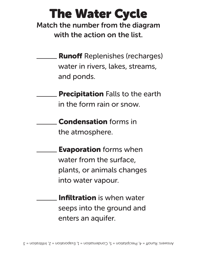## The Water Cycle

Match the number from the diagram with the action on the list.

- Runoff Replenishes (recharges) water in rivers, lakes, streams, and ponds.
- **Precipitation** Falls to the earth in the form rain or snow.
	- Condensation forms in the atmosphere.
		- Evaporation forms when water from the surface, plants, or animals changes into water vapour.
	- Infiltration is when water seeps into the ground and enters an aquifer.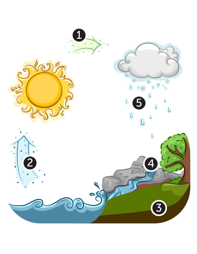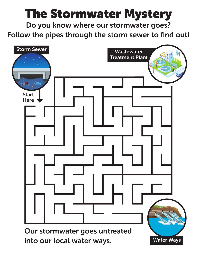# The Stormwater Mystery

Do you know where our stormwater goes? Follow the pipes through the storm sewer to find out!

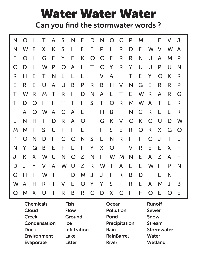## Water Water Water

Can you find the stormwater words ?

| N            | $\bigcap$  |            | Τ      | A            | S          | N            | E              | D                        | N            | $\bigcirc$     | C            | P              | M            | L              | E          | V          | J              |
|--------------|------------|------------|--------|--------------|------------|--------------|----------------|--------------------------|--------------|----------------|--------------|----------------|--------------|----------------|------------|------------|----------------|
| N            | W          | F          | X      | К            | S          | $\mathsf{I}$ | F              | E                        | $\mathsf{P}$ | L              | R            | D              | E            | W              | $\vee$     | W          | A              |
| E            | O          | L          | G      | E            | Y          | F            | K              | $\bigcirc$               | $\mathsf{Q}$ | E              | R            | $\mathsf{R}$   | N            | U              | A          | M          | P              |
| C            | D          | L          | W      | P            | $\bigcirc$ | A            | L              | $\top$                   | C            | Y              | R            | Y              | U            | U              | P          | U          | N              |
| R            | Н          | E          | Τ      | N            | L          | L            | L              | $\overline{\phantom{a}}$ | V            | $\mathsf{A}$   | $\mathbf{I}$ | T              | E            | Y              | $\bigcirc$ | К          | R              |
| E            | R          | E          | U      | A            | U          | B            | P              | R                        | B            | H              | V            | N              | G            | E              | R          | R          | P              |
| Τ            | W          | R          | M      | Τ            | R          | $\mathsf{I}$ | D              | N                        | A            | L              | T            | E              | W            | R              | A          | R          | G              |
| Τ            | D          | $\bigcirc$ | L      | L            | Τ          | $\top$       | $\mathsf{I}$   | S                        | T            | $\bigcirc$     | R            | M              | W            | A              | Τ          | E          | R              |
| $\mathsf{I}$ | A          | $\bigcirc$ | W      | $\mathsf{A}$ | C          | $\mathsf{A}$ | $\lfloor$      | F                        | H            | B              | $\mathbf{I}$ | N              | $\mathsf C$  | R              | E          | E          | К              |
| L            | N          | H          | Τ      | D            | R          | A            | $\bigcirc$     | $\overline{\phantom{a}}$ | G            | K              | $\vee$       | $\overline{O}$ | $\mathsf K$  | C              | U          | D          | W              |
| M            | M          | L          | S      | U            | F          | $\mathsf{I}$ | L              | $\overline{\phantom{a}}$ | F            | S              | E            | R              | $\bigcirc$   | $\mathsf K$    | X          | G          | $\overline{O}$ |
| P            | $\bigcirc$ | N          | D      | L            | C          | $\mathsf{C}$ | N              | S                        | L            | N              | R            | I              | $\mathbf{I}$ | C              | J          | Τ          | L              |
| N            | Y          | Q          | B      | E            | F          | L            | F              | Y                        | X            | $\overline{O}$ | $\mathbf{I}$ | V              | R            | E              | E          | X          | F              |
| J            | К          | X          | W      | U            | N          | $\bigcirc$   | Z              | N                        | $\mathbf{L}$ | W              | M            | N              | E            | A              | Z          | A          | F              |
| D            | J          | Y          | $\vee$ | $\mathsf{A}$ | W          | $\bigcup$    | Z              | R                        | W            | $\top$         | A            | E              | E            | W              | I          | P          | N              |
| G            | H          | L          | W      | Τ            | T          | D            | M              | J                        | J            | F              | К            | B              | D            | Τ              | L          | N          | F              |
| W            | A          | Η          | R      | Τ            | V          | E            | $\overline{O}$ | Y                        | Y            | S              | T            | R              | E            | A              | M          | J          | B              |
| $\mathbf Q$  | M          | X          | U      | $\top$       | R          | B            | R              | G                        | D            | X              | G            | I              | Н            | $\overline{O}$ | E          | $\bigcirc$ | E              |

| <b>Chemicals</b>   | <b>Fish</b>         | Ocean             | <b>Runoff</b>     |
|--------------------|---------------------|-------------------|-------------------|
| Cloud              | <b>Flow</b>         | <b>Pollution</b>  | <b>Sewer</b>      |
| <b>Creek</b>       | <b>Ground</b>       | Pond              | <b>Snow</b>       |
| Condensation       | <b>Ice</b>          | Precipitation     | <b>Stream</b>     |
| <b>Duck</b>        | <b>Infiltration</b> | Rain              | <b>Stormwater</b> |
| <b>Environment</b> | Lake                | <b>RainBarrel</b> | <b>Water</b>      |
| <b>Evaporate</b>   | <b>Litter</b>       | <b>River</b>      | <b>Wetland</b>    |